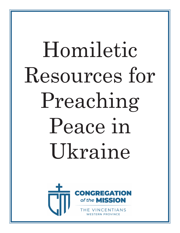# Homiletic Resources for Preaching Peace in Ukraine



THE VINCENTIANS **RN PROVINCE**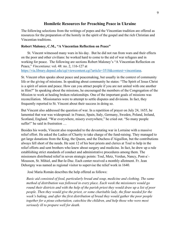## **Homiletic Resources for Preaching Peace in Ukraine**

The following selections from the writings of popes and the Vincentian tradition are offered as resources for the preparation of the homily in the spirit of the gospel and the rich Christian and Vincentian traditions.

### **Robert Maloney, C.M., "A Vincentian Reflection on Peace"**

St. Vincent witnessed many wars in his day. But he did not run from wars and their effects on the poor and other civilians: he worked hard to come to the aid of war refugees and in working for peace. The following are sections Robert Maloney's "A Vincentian Reflection on Peace," *Vincentiana*: vol. 48: no. 2, 116-127 at [https://via.library.depaul.edu/cgi/viewcontent.cgi?article=3518&context=vincentiana.](https://via.library.depaul.edu/cgi/viewcontent.cgi?article=3518&context=vincentiana)

St. Vincent often speaks about peace and peacemaking, but usually in the context of community life or the giving of missions. In speaking about community he states: "The Spirit of Jesus Christ is a spirit of union and peace. How can you attract people if you are not united with one another in Him?" In speaking about the missions, he encouraged the members of the Congregation of the Mission to work at healing broken relationships. One of the important goals of missions was reconciliation. Missionaries were to attempt to settle disputes and divisions. In fact, they frequently reported to St. Vincent about their success in doing so.

But Vincent also addressed the question of war. In a repetition of prayer on July 24, 1655, he lamented that war was widespread: in France, Spain, Italy, Germany, Sweden, Poland, Ireland, Scotland, England. "War everywhere, misery everywhere," he cried out. "So many people suffer!" he said in frustration …

Besides his words, Vincent also responded to the devastating war in Lorraine with a massive relief effort. He asked the Ladies of Charity to take charge of the fund-raising. They managed to get large donations from the King, the Queen, and the Duchess d'Aiguillon, but the contributions always fell short of the needs. He sent 12 of his best priests and clerics at Toul to help in the relief efforts and sent brothers who knew about surgery and medicine. In fact, he drew up a rule establishing strict standards of conduct and administrative procedures among them. The missioners distributed relief in seven strategic points: Toul, Metz, Verdun, Nancy, Pont-a`- Mousson, St. Mihiel, and Bar-le-Duc. Each center received a monthly allotment. Fr. Jean Dehorgny was named as regional visitor to supervise the relief work in 1640.

José Maria Román describes the help offered as follows:

*Basic aid consisted of food, particularly bread and soup, medicine and clothing. The same method of distribution was followed in every place. Each week the missioners would go round their districts and with the help of the parish priest they would draw up a list of poor people. Then they would give the priest, or some charitable lady, the flour needed for the week's baking, and after the first distribution of bread they would gather the poor people*  together for a pious exhortation, catechise the children, and help those who were most *seriously ill to prepare well for death.*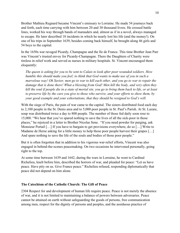Brother Mathieu Regnard became Vincent's emissary to Lorraine. He made 54 journeys back and forth, each time carrying with him between 20 and 30 thousand livres. He crossed battle lines, worked his way through bands of marauders and, almost as if in a novel, always managed to escape. He later described 18 incidents in which he nearly lost his life (and the money!). On one of his trips in September 1639, besides coming back himself, he brought along 46 girls and 54 boys to the capital.

In the 1650s war ravaged Picardy, Champagne and the Ile de France. This time Brother Jean Parr was Vincent's trusted envoy for Picardy-Champagne. There the Daughters of Charity were tireless in relief work and served as nurses in military hospitals. St. Vincent encouraged them eloquently:

*The queen is asking for you to be sent to Calais to look after poor wounded soldiers. How humble this should make you feel; to think that God wants to make use of you in such a marvelous way! Oh Savior, men go to war to kill each other, and you go to war to repair the damage that is done there! What a blessing from God! Men kill the body, and very often they kill the soul if people die in a state of mortal sin; you go to bring them back to life, or at least to preserve life by the care you give to those who survive, and your efforts to show them, by your good example and your exhortations, that they should be resigned to God's will.* 

With the siege of Paris, the pain of war came to the capital. The sisters distributed food each day to 2,100 people in the St. Denis area and to 5,000 poor people in St. Paul's Parish. At St. Lazare, soup was distributed twice a day to 800 people. The number of those fed daily soon rose to 15,000. "We hear that you've spared nothing to save the lives of all the sick-poor in those places," he rejoiced in a letter to Brother Nicolas Sene. "If you need powder for purging, ask Monsieur Portail […] If you have to bargain to get provisions everywhere, do so […] Write to Madame de Herse asking for a little money to help those poor people harvest their grapes [...] And spare nothing to save the life of the souls and bodies of those poor people."

But it is often forgotten that in addition to his vigorous war-relief efforts, Vincent was also engaged in behind-the-scenes peacemaking. On two occasions he intervened personally, going right to the top.

At some time between 1639 and 1642, during the wars in Lorraine, he went to Cardinal Richelieu, knelt before him, described the horrors of war, and pleaded for peace: "Let us have peace. Have pity on us. Give France peace." Richelieu refused, responding diplomatically that peace did not depend on him alone.

## **The Catechism of the Catholic Church: The Gift of Peace**

2304 Respect for and development of human life require peace. Peace is not merely the absence of war, and it is not limited to maintaining a balance of powers between adversaries. Peace cannot be attained on earth without safeguarding the goods of persons, free communication among men, respect for the dignity of persons and peoples, and the assiduous practice of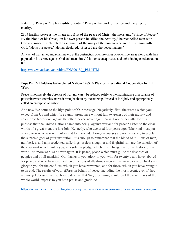fraternity. Peace is "the tranquility of order." Peace is the work of justice and the effect of charity.

2305 Earthly peace is the image and fruit of the peace of Christ, the messianic "Prince of Peace." By the blood of his Cross, "in his own person he killed the hostility," he reconciled men with God and made his Church the sacrament of the unity of the human race and of its union with God. "He is our peace." He has declared: "Blessed are the peacemakers."

Any act of war aimed indiscriminately at the destruction of entire cities of extensive areas along with their population is a crime against God and man himself. It merits unequivocal and unhesitating condemnation. 80

[https://www.vatican.va/archive/ENG0015/\\_\\_P81.HTM](https://www.vatican.va/archive/ENG0015/__P81.HTM) 

### **Pope Paul VI Address to the United Nations 1965: A Plea for International Cooperation to End Wars**

Peace is not merely the absence of war; nor can it be reduced solely to the maintenance of a balance of power between enemies; nor is it brought about by dictatorship. Instead, it is rightly and appropriately called an enterprise of justice.

And now We come to the high point of Our message: Negatively, first: the words which you expect from Us and which We cannot pronounce without full awareness of their gravity and solemnity: Never one against the other, never, never again. Was it not principally for this purpose that the United Nations came into being: against war and for peace? Listen to the clear words of a great man, the late John Kennedy, who declared four years ago: "Mankind must put an end to war, or war will put an end to mankind." Long discourses are not necessary to proclaim the supreme goal of your institution. It is enough to remember that the blood of millions of men, numberless and unprecedented sufferings, useless slaughter and frightful ruin are the sanction of the covenant which unites you, in a solemn pledge which must change the future history of the world: No more war, war never again. It is peace, peace which must guide the destinies of peoples and of all mankind. Our thanks to you, glory to you, who for twenty years have labored for peace and who have even suffered the loss of illustrious men in this sacred cause. Thanks and glory to you for the conflicts, which you have prevented, and for those, which you have brought to an end. The results of your efforts on behalf of peace, including the most recent, even if they are not yet decisive, are such as to deserve that We, presuming to interpret the sentiments of the whole world, express to you both praise and gratitude.

<https://www.ncronline.org/blogs/ncr-today/paul-vi-50-years-ago-no-more-war-war-never-again>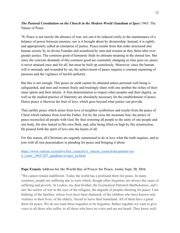# *The Pastoral Constitution on the Church in the Modern World* (*Gaudium et Spes*) 1965: The Nature of Peace

78. Peace is not merely the absence of war; nor can it be reduced solely to the maintenance of a balance of power between enemies; nor is it brought about by dictatorship. Instead, it is rightly and appropriately called an enterprise of justice. Peace results from that order structured into human society by its divine Founder and actualized by men and women as they thirst after ever greater justice. The common good of humanity finds its ultimate meaning in the eternal law. But since the concrete demands of this common good are constantly changing as time goes on, peace is never attained once and for all, but must be built up ceaselessly. Moreover, since the human will is unsteady and wounded by sin, the achievement of peace requires a constant mastering of passions and the vigilance of lawful authority.

But this is not enough. This peace on earth cannot be obtained unless personal well-being is safeguarded, and men and women freely and trustingly share with one another the riches of their inner spirits and their talents. A firm determination to respect other peoples and their dignity, as well as the studied practice of fraternity are absolutely necessary for the establishment of peace. Hence peace is likewise the fruit of love, which goes beyond what justice can provide.

That earthly peace which arises from love of neighbor symbolizes and results from the peace of Christ which radiates from God the Father. For by the cross the incarnate Son, the prince of peace reconciled all people with God. By thus restoring all people to the unity of one people and one body, He slew hatred in His own flesh; and, after being lifted on high by His resurrection, He poured forth the spirit of love into the hearts of all.

For this reason, all Christians are urgently summoned to do in love what the truth requires, and to join with all true peacemakers in pleading for peace and bringing it about.

[https://www.vatican.va/archive/hist\\_councils/ii\\_vatican\\_council/documents/vat](https://www.vatican.va/archive/hist_councils/ii_vatican_council/documents/vat-ii_const_19651207_gaudium-et-spes_en.html)[ii\\_const\\_19651207\\_gaudium-et-spes\\_en.html](https://www.vatican.va/archive/hist_councils/ii_vatican_council/documents/vat-ii_const_19651207_gaudium-et-spes_en.html)

## **Pope Francis Address for the World Day of Prayer for Peace, Assisi, Sept. 20, 2016**

"We cannot remain indifferent. Today the world has a profound thirst for peace. In many countries, people are suffering due to wars which, though often forgotten, are always the cause of suffering and poverty. In Lesbos, my dear brother, the Ecumenical Patriarch Bartholomew, and I saw the sorrow of war in the eyes of the refugees, the anguish of peoples thirsting for peace. I am thinking of the families, whose lives have been shattered; of the children who have known only violence in their lives; of the elderly, forced to leave their homeland. All of them have a great thirst for peace. We do not want these tragedies to be forgotten. Rather together we want to give voice to all those who suffer, to all those who have no voice and are not heard. They know well,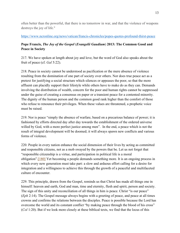often better than the powerful, that there is no tomorrow in war, and that the violence of weapons destroys the joy of life."

# <https://www.ncronline.org/news/vatican/francis-chronicles/popes-quotes-profound-thirst-peace>

# **Pope Francis,** *The Joy of the Gospel* (*Evangelii Gaudium*) **2013: The Common Good and Peace in Society**

217. We have spoken at length about joy and love, but the word of God also speaks about the fruit of peace (cf. *Gal* 5:22).

218. Peace in society cannot be understood as pacification or the mere absence of violence resulting from the domination of one part of society over others. Nor does true peace act as a pretext for justifying a social structure which silences or appeases the poor, so that the more affluent can placidly support their lifestyle while others have to make do as they can. Demands involving the distribution of wealth, concern for the poor and human rights cannot be suppressed under the guise of creating a consensus on paper or a transient peace for a contented minority. The dignity of the human person and the common good rank higher than the comfort of those who refuse to renounce their privileges. When these values are threatened, a prophetic voice must be raised.

219. Nor is peace "simply the absence of warfare, based on a precarious balance of power; it is fashioned by efforts directed day after day towards the establishment of the ordered universe willed by God, with a more perfect justice among men". In the end, a peace which is not the result of integral development will be doomed; it will always spawn new conflicts and various forms of violence.

220. People in every nation enhance the social dimension of their lives by acting as committed and responsible citizens, not as a mob swayed by the powers that be. Let us not forget that "responsible citizenship is a virtue, and participation in political life is a moral obligation"[.\[180\]](https://www.vatican.va/content/francesco/en/apost_exhortations/documents/papa-francesco_esortazione-ap_20131124_evangelii-gaudium.html#_ftn180) Yet becoming a people demands something more. It is an ongoing process in which every new generation must take part: a slow and arduous effort calling for a desire for integration and a willingness to achieve this through the growth of a peaceful and multifaceted culture of encounter.

229. This principle, drawn from the Gospel, reminds us that Christ has made all things one in himself: heaven and earth, God and man, time and eternity, flesh and spirit, person and society. The sign of this unity and reconciliation of all things in him is peace. Christ "is our peace" (*Eph* 2:14). The Gospel message always begins with a greeting of peace, and peace at all times crowns and confirms the relations between the disciples. Peace is possible because the Lord has overcome the world and its constant conflict "by making peace through the blood of his cross" (*Col* 1:20). But if we look more closely at these biblical texts, we find that the locus of this